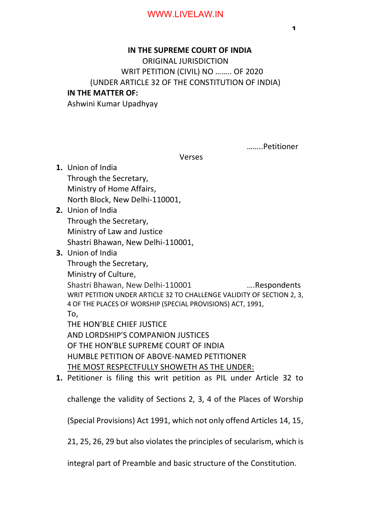## **IN THE SUPREME COURT OF INDIA**

 ORIGINAL JURISDICTION WRIT PETITION (CIVIL) NO …….. OF 2020 (UNDER ARTICLE 32 OF THE CONSTITUTION OF INDIA) **IN THE MATTER OF:**

Ashwini Kumar Upadhyay

Res: G-284, Govindpuram, Ghaziabad-201013 ……..Petitioner

Verses

- **1.** Union of India Through the Secretary, Ministry of Home Affairs, North Block, New Delhi-110001,
- **2.** Union of India Through the Secretary, Ministry of Law and Justice Shastri Bhawan, New Delhi-110001,
- **3.** Union of India

Through the Secretary, Ministry of Culture, Shastri Bhawan, New Delhi-110001 ….Respondents WRIT PETITION UNDER ARTICLE 32 TO CHALLENGE VALIDITY OF SECTION 2, 3, 4 OF THE PLACES OF WORSHIP (SPECIAL PROVISIONS) ACT, 1991, To, THE HON'BLE CHIEF JUSTICE AND LORDSHIP'S COMPANION JUSTICES OF THE HON'BLE SUPREME COURT OF INDIA HUMBLE PETITION OF ABOVE-NAMED PETITIONER THE MOST RESPECTFULLY SHOWETH AS THE UNDER:

**1.** Petitioner is filing this writ petition as PIL under Article 32 to

challenge the validity of Sections 2, 3, 4 of the Places of Worship

(Special Provisions) Act 1991, which not only offend Articles 14, 15,

21, 25, 26, 29 but also violates the principles of secularism, which is

integral part of Preamble and basic structure of the Constitution.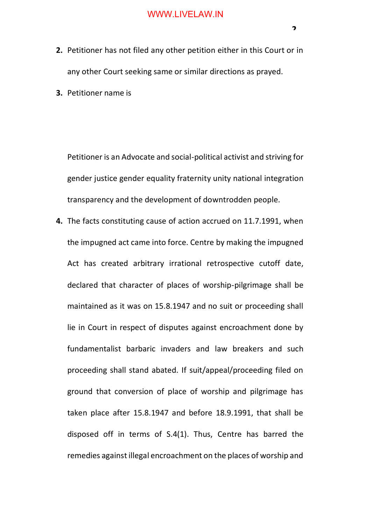- **2.** Petitioner has not filed any other petition either in this Court or in any other Court seeking same or similar directions as prayed.
- **3.** Petitioner name is

Petitioner is an Advocate and social-political activist and striving for gender justice gender equality fraternity unity national integration transparency and the development of downtrodden people.

**4.** The facts constituting cause of action accrued on 11.7.1991, when the impugned act came into force. Centre by making the impugned Act has created arbitrary irrational retrospective cutoff date, declared that character of places of worship-pilgrimage shall be maintained as it was on 15.8.1947 and no suit or proceeding shall lie in Court in respect of disputes against encroachment done by fundamentalist barbaric invaders and law breakers and such proceeding shall stand abated. If suit/appeal/proceeding filed on ground that conversion of place of worship and pilgrimage has taken place after 15.8.1947 and before 18.9.1991, that shall be disposed off in terms of S.4(1). Thus, Centre has barred the remedies against illegal encroachment on the places of worship and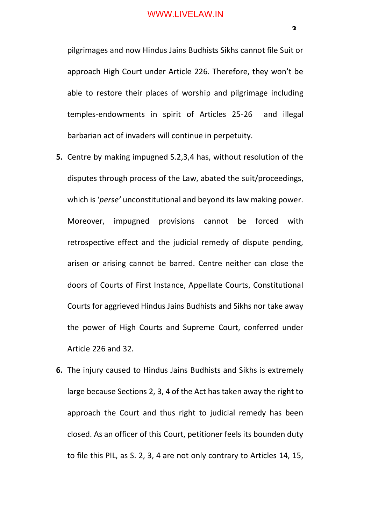pilgrimages and now Hindus Jains Budhists Sikhs cannot file Suit or approach High Court under Article 226. Therefore, they won't be able to restore their places of worship and pilgrimage including temples-endowments in spirit of Articles 25-26 and illegal barbarian act of invaders will continue in perpetuity.

- **5.** Centre by making impugned S.2,3,4 has, without resolution of the disputes through process of the Law, abated the suit/proceedings, which is '*perse'* unconstitutional and beyond its law making power. Moreover, impugned provisions cannot be forced with retrospective effect and the judicial remedy of dispute pending, arisen or arising cannot be barred. Centre neither can close the doors of Courts of First Instance, Appellate Courts, Constitutional Courts for aggrieved Hindus Jains Budhists and Sikhs nor take away the power of High Courts and Supreme Court, conferred under Article 226 and 32.
- **6.** The injury caused to Hindus Jains Budhists and Sikhs is extremely large because Sections 2, 3, 4 of the Act has taken away the right to approach the Court and thus right to judicial remedy has been closed. As an officer of this Court, petitioner feels its bounden duty to file this PIL, as S. 2, 3, 4 are not only contrary to Articles 14, 15,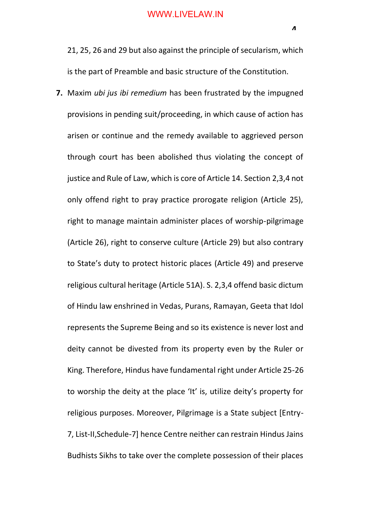21, 25, 26 and 29 but also against the principle of secularism, which is the part of Preamble and basic structure of the Constitution.

**7.** Maxim *ubi jus ibi remedium* has been frustrated by the impugned provisions in pending suit/proceeding, in which cause of action has arisen or continue and the remedy available to aggrieved person through court has been abolished thus violating the concept of justice and Rule of Law, which is core of Article 14. Section 2,3,4 not only offend right to pray practice prorogate religion (Article 25), right to manage maintain administer places of worship-pilgrimage (Article 26), right to conserve culture (Article 29) but also contrary to State's duty to protect historic places (Article 49) and preserve religious cultural heritage (Article 51A). S. 2,3,4 offend basic dictum of Hindu law enshrined in Vedas, Purans, Ramayan, Geeta that Idol represents the Supreme Being and so its existence is never lost and deity cannot be divested from its property even by the Ruler or King. Therefore, Hindus have fundamental right under Article 25-26 to worship the deity at the place 'It' is, utilize deity's property for religious purposes. Moreover, Pilgrimage is a State subject [Entry-7, List-II,Schedule-7] hence Centre neither can restrain Hindus Jains Budhists Sikhs to take over the complete possession of their places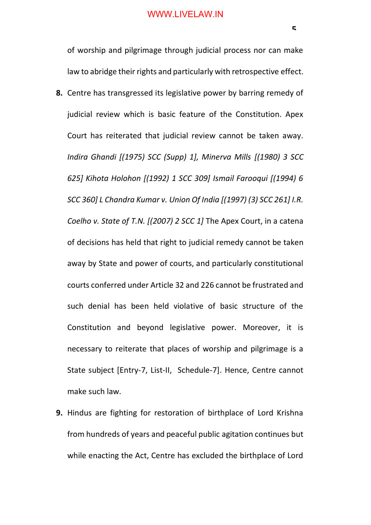of worship and pilgrimage through judicial process nor can make law to abridge their rights and particularly with retrospective effect.

- **8.** Centre has transgressed its legislative power by barring remedy of judicial review which is basic feature of the Constitution. Apex Court has reiterated that judicial review cannot be taken away. *Indira Ghandi [(1975) SCC (Supp) 1], Minerva Mills [(1980) 3 SCC 625] Kihota Holohon [(1992) 1 SCC 309] Ismail Farooqui [(1994) 6 SCC 360] L Chandra Kumar v. Union Of India [(1997) (3) SCC 261] I.R. Coelho v. State of T.N. [(2007) 2 SCC 1]* The Apex Court, in a catena of decisions has held that right to judicial remedy cannot be taken away by State and power of courts, and particularly constitutional courts conferred under Article 32 and 226 cannot be frustrated and such denial has been held violative of basic structure of the Constitution and beyond legislative power. Moreover, it is necessary to reiterate that places of worship and pilgrimage is a State subject [Entry-7, List-II, Schedule-7]. Hence, Centre cannot make such law.
- **9.** Hindus are fighting for restoration of birthplace of Lord Krishna from hundreds of years and peaceful public agitation continues but while enacting the Act, Centre has excluded the birthplace of Lord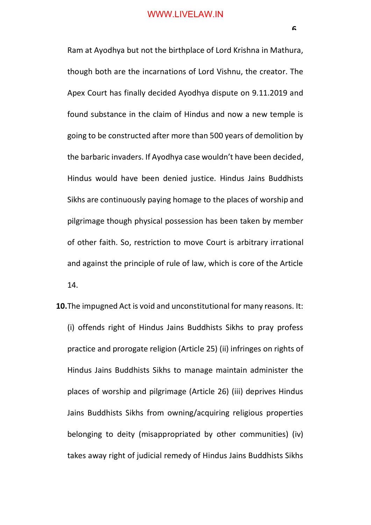Ram at Ayodhya but not the birthplace of Lord Krishna in Mathura, though both are the incarnations of Lord Vishnu, the creator. The Apex Court has finally decided Ayodhya dispute on 9.11.2019 and found substance in the claim of Hindus and now a new temple is going to be constructed after more than 500 years of demolition by the barbaric invaders. If Ayodhya case wouldn't have been decided, Hindus would have been denied justice. Hindus Jains Buddhists Sikhs are continuously paying homage to the places of worship and pilgrimage though physical possession has been taken by member of other faith. So, restriction to move Court is arbitrary irrational and against the principle of rule of law, which is core of the Article 14.

**10.**The impugned Act is void and unconstitutional for many reasons. It: (i) offends right of Hindus Jains Buddhists Sikhs to pray profess practice and prorogate religion (Article 25) (ii) infringes on rights of Hindus Jains Buddhists Sikhs to manage maintain administer the places of worship and pilgrimage (Article 26) (iii) deprives Hindus Jains Buddhists Sikhs from owning/acquiring religious properties belonging to deity (misappropriated by other communities) (iv) takes away right of judicial remedy of Hindus Jains Buddhists Sikhs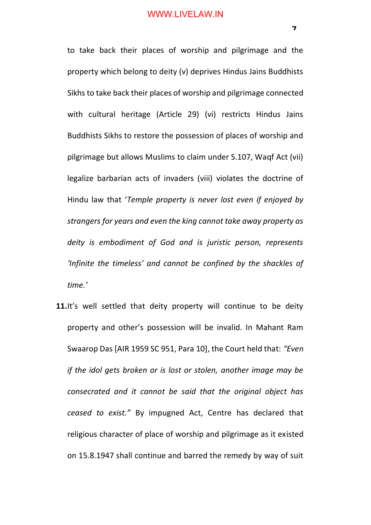to take back their places of worship and pilgrimage and the property which belong to deity (v) deprives Hindus Jains Buddhists Sikhs to take back their places of worship and pilgrimage connected with cultural heritage (Article 29) (vi) restricts Hindus Jains Buddhists Sikhs to restore the possession of places of worship and pilgrimage but allows Muslims to claim under S.107, Waqf Act (vii) legalize barbarian acts of invaders (viii) violates the doctrine of Hindu law that '*Temple property is never lost even if enjoyed by strangers for years and even the king cannot take away property as deity is embodiment of God and is juristic person, represents 'Infinite the timeless' and cannot be confined by the shackles of time.'*

**11.** It's well settled that deity property will continue to be deity property and other's possession will be invalid. In Mahant Ram Swaarop Das [AIR 1959 SC 951, Para 10], the Court held that: *"Even if the idol gets broken or is lost or stolen, another image may be consecrated and it cannot be said that the original object has ceased to exist."* By impugned Act, Centre has declared that religious character of place of worship and pilgrimage as it existed on 15.8.1947 shall continue and barred the remedy by way of suit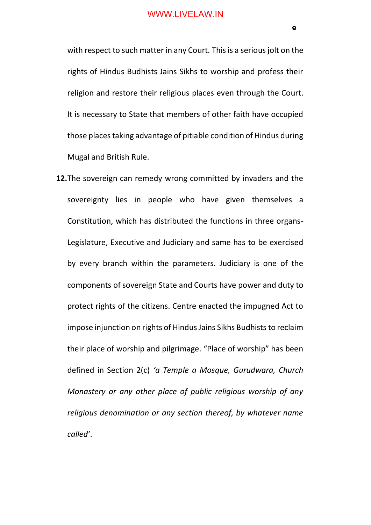with respect to such matter in any Court. This is a serious jolt on the rights of Hindus Budhists Jains Sikhs to worship and profess their religion and restore their religious places even through the Court. It is necessary to State that members of other faith have occupied those places taking advantage of pitiable condition of Hindus during Mugal and British Rule.

**12.**The sovereign can remedy wrong committed by invaders and the sovereignty lies in people who have given themselves a Constitution, which has distributed the functions in three organs-Legislature, Executive and Judiciary and same has to be exercised by every branch within the parameters. Judiciary is one of the components of sovereign State and Courts have power and duty to protect rights of the citizens. Centre enacted the impugned Act to impose injunction on rights of Hindus Jains Sikhs Budhists to reclaim their place of worship and pilgrimage. "Place of worship" has been defined in Section 2(c) *'a Temple a Mosque, Gurudwara, Church Monastery or any other place of public religious worship of any religious denomination or any section thereof, by whatever name called'*.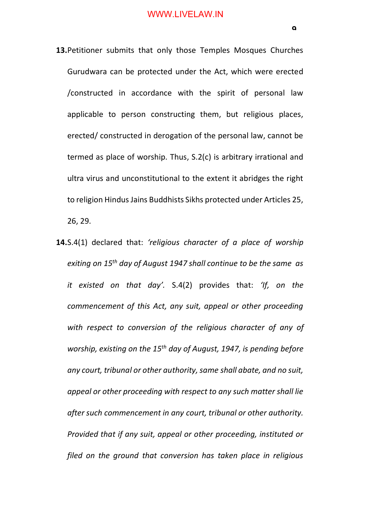- **13.**Petitioner submits that only those Temples Mosques Churches Gurudwara can be protected under the Act, which were erected /constructed in accordance with the spirit of personal law applicable to person constructing them, but religious places, erected/ constructed in derogation of the personal law, cannot be termed as place of worship. Thus, S.2(c) is arbitrary irrational and ultra virus and unconstitutional to the extent it abridges the right to religion Hindus Jains Buddhists Sikhs protected under Articles 25, 26, 29.
- **14.**S.4(1) declared that: *'religious character of a place of worship exiting on 15th day of August 1947 shall continue to be the same as it existed on that day'.* S.4(2) provides that: *'If, on the commencement of this Act, any suit, appeal or other proceeding with respect to conversion of the religious character of any of worship, existing on the 15th day of August, 1947, is pending before any court, tribunal or other authority, same shall abate, and no suit, appeal or other proceeding with respect to any such matter shall lie after such commencement in any court, tribunal or other authority. Provided that if any suit, appeal or other proceeding, instituted or filed on the ground that conversion has taken place in religious*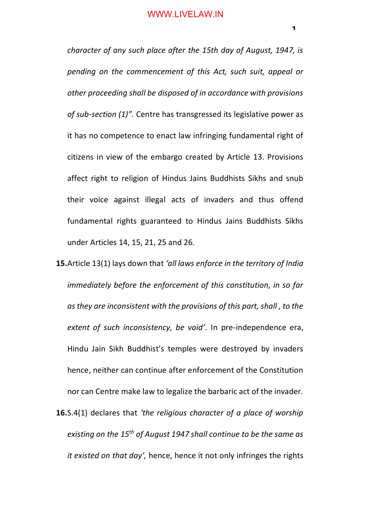*character of any such place after the 15th day of August, 1947, is pending on the commencement of this Act, such suit, appeal or other proceeding shall be disposed of in accordance with provisions of sub-section (1)".* Centre has transgressed its legislative power as it has no competence to enact law infringing fundamental right of citizens in view of the embargo created by Article 13. Provisions affect right to religion of Hindus Jains Buddhists Sikhs and snub their voice against illegal acts of invaders and thus offend fundamental rights guaranteed to Hindus Jains Buddhists Sikhs under Articles 14, 15, 21, 25 and 26.

- **15.**Article 13(1) lays down that *'all laws enforce in the territory of India immediately before the enforcement of this constitution, in so far as they are inconsistent with the provisions of this part, shall , to the extent of such inconsistency, be void'*. In pre-independence era, Hindu Jain Sikh Buddhist's temples were destroyed by invaders hence, neither can continue after enforcement of the Constitution nor can Centre make law to legalize the barbaric act of the invader.
- **16.**S.4(1) declares that *'the religious character of a place of worship existing on the 15th of August 1947 shall continue to be the same as it existed on that day',* hence, hence it not only infringes the rights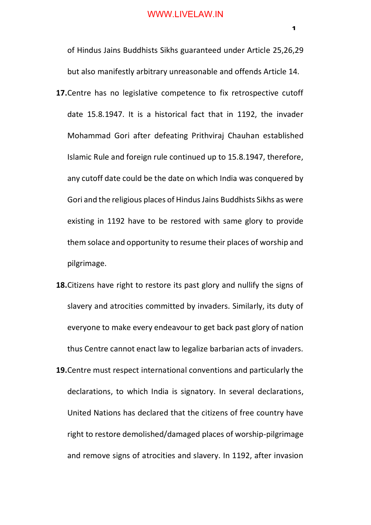of Hindus Jains Buddhists Sikhs guaranteed under Article 25,26,29 but also manifestly arbitrary unreasonable and offends Article 14.

- **17.**Centre has no legislative competence to fix retrospective cutoff date 15.8.1947. It is a historical fact that in 1192, the invader Mohammad Gori after defeating Prithviraj Chauhan established Islamic Rule and foreign rule continued up to 15.8.1947, therefore, any cutoff date could be the date on which India was conquered by Gori and the religious places of Hindus Jains Buddhists Sikhs as were existing in 1192 have to be restored with same glory to provide them solace and opportunity to resume their places of worship and pilgrimage.
- **18.**Citizens have right to restore its past glory and nullify the signs of slavery and atrocities committed by invaders. Similarly, its duty of everyone to make every endeavour to get back past glory of nation thus Centre cannot enact law to legalize barbarian acts of invaders.
- **19.**Centre must respect international conventions and particularly the declarations, to which India is signatory. In several declarations, United Nations has declared that the citizens of free country have right to restore demolished/damaged places of worship-pilgrimage and remove signs of atrocities and slavery. In 1192, after invasion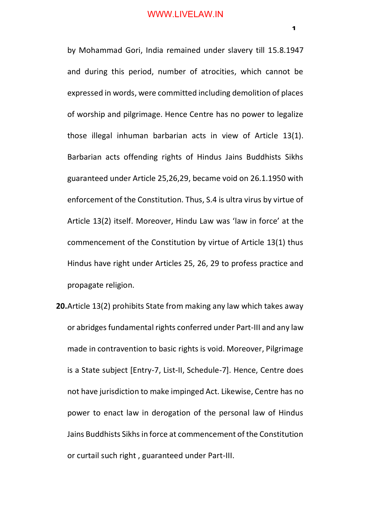by Mohammad Gori, India remained under slavery till 15.8.1947 and during this period, number of atrocities, which cannot be expressed in words, were committed including demolition of places of worship and pilgrimage. Hence Centre has no power to legalize those illegal inhuman barbarian acts in view of Article 13(1). Barbarian acts offending rights of Hindus Jains Buddhists Sikhs guaranteed under Article 25,26,29, became void on 26.1.1950 with enforcement of the Constitution. Thus, S.4 is ultra virus by virtue of Article 13(2) itself. Moreover, Hindu Law was 'law in force' at the commencement of the Constitution by virtue of Article 13(1) thus Hindus have right under Articles 25, 26, 29 to profess practice and propagate religion.

**20.**Article 13(2) prohibits State from making any law which takes away or abridges fundamental rights conferred under Part-III and any law made in contravention to basic rights is void. Moreover, Pilgrimage is a State subject [Entry-7, List-II, Schedule-7]. Hence, Centre does not have jurisdiction to make impinged Act. Likewise, Centre has no power to enact law in derogation of the personal law of Hindus Jains Buddhists Sikhs in force at commencement of the Constitution or curtail such right , guaranteed under Part-III.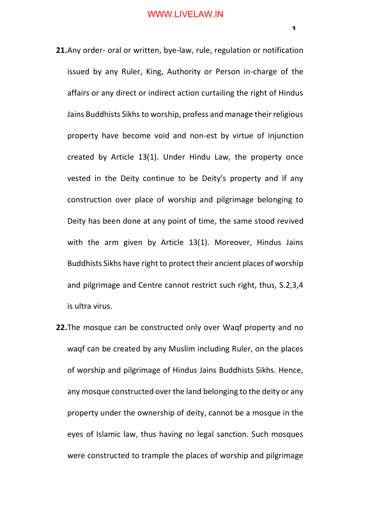- **21.**Any order- oral or written, bye-law, rule, regulation or notification issued by any Ruler, King, Authority or Person in-charge of the affairs or any direct or indirect action curtailing the right of Hindus Jains Buddhists Sikhs to worship, profess and manage their religious property have become void and non-est by virtue of injunction created by Article 13(1). Under Hindu Law, the property once vested in the Deity continue to be Deity's property and if any construction over place of worship and pilgrimage belonging to Deity has been done at any point of time, the same stood revived with the arm given by Article 13(1). Moreover, Hindus Jains Buddhists Sikhs have right to protect their ancient places of worship and pilgrimage and Centre cannot restrict such right, thus, S.2,3,4 is ultra virus.
- **22.**The mosque can be constructed only over Waqf property and no waqf can be created by any Muslim including Ruler, on the places of worship and pilgrimage of Hindus Jains Buddhists Sikhs. Hence, any mosque constructed over the land belonging to the deity or any property under the ownership of deity, cannot be a mosque in the eyes of Islamic law, thus having no legal sanction. Such mosques were constructed to trample the places of worship and pilgrimage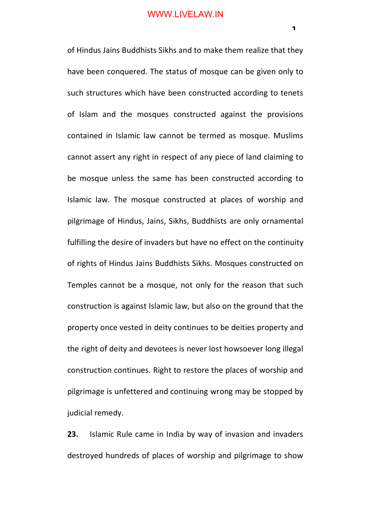of Hindus Jains Buddhists Sikhs and to make them realize that they have been conquered. The status of mosque can be given only to such structures which have been constructed according to tenets of Islam and the mosques constructed against the provisions contained in Islamic law cannot be termed as mosque. Muslims cannot assert any right in respect of any piece of land claiming to be mosque unless the same has been constructed according to Islamic law. The mosque constructed at places of worship and pilgrimage of Hindus, Jains, Sikhs, Buddhists are only ornamental fulfilling the desire of invaders but have no effect on the continuity of rights of Hindus Jains Buddhists Sikhs. Mosques constructed on Temples cannot be a mosque, not only for the reason that such construction is against Islamic law, but also on the ground that the property once vested in deity continues to be deities property and the right of deity and devotees is never lost howsoever long illegal construction continues. Right to restore the places of worship and pilgrimage is unfettered and continuing wrong may be stopped by judicial remedy.

**23.** Islamic Rule came in India by way of invasion and invaders destroyed hundreds of places of worship and pilgrimage to show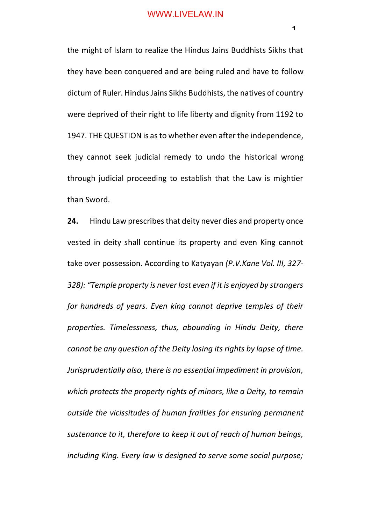the might of Islam to realize the Hindus Jains Buddhists Sikhs that they have been conquered and are being ruled and have to follow dictum of Ruler. Hindus Jains Sikhs Buddhists, the natives of country were deprived of their right to life liberty and dignity from 1192 to 1947. THE QUESTION is as to whether even after the independence, they cannot seek judicial remedy to undo the historical wrong through judicial proceeding to establish that the Law is mightier than Sword.

**24.** Hindu Law prescribes that deity never dies and property once vested in deity shall continue its property and even King cannot take over possession. According to Katyayan *(P.V.Kane Vol. III, 327- 328): "Temple property is never lost even if it is enjoyed by strangers for hundreds of years. Even king cannot deprive temples of their properties. Timelessness, thus, abounding in Hindu Deity, there cannot be any question of the Deity losing its rights by lapse of time. Jurisprudentially also, there is no essential impediment in provision, which protects the property rights of minors, like a Deity, to remain outside the vicissitudes of human frailties for ensuring permanent sustenance to it, therefore to keep it out of reach of human beings, including King. Every law is designed to serve some social purpose;*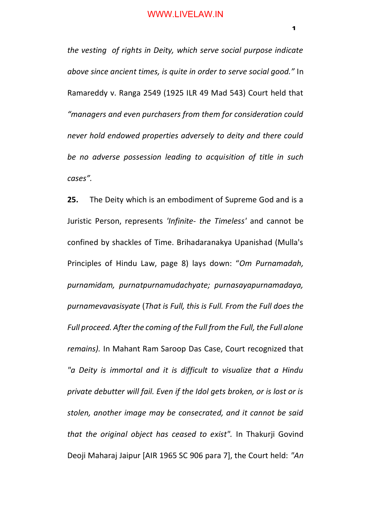*the vesting of rights in Deity, which serve social purpose indicate above since ancient times, is quite in order to serve social good."* In Ramareddy v. Ranga 2549 (1925 ILR 49 Mad 543) Court held that *"managers and even purchasers from them for consideration could never hold endowed properties adversely to deity and there could be no adverse possession leading to acquisition of title in such cases".*

**25.** The Deity which is an embodiment of Supreme God and is a Juristic Person, represents *'Infinite- the Timeless'* and cannot be confined by shackles of Time. Brihadaranakya Upanishad (Mulla's Principles of Hindu Law, page 8) lays down: "*Om Purnamadah, purnamidam, purnatpurnamudachyate; purnasayapurnamadaya, purnamevavasisyate* (*That is Full, this is Full. From the Full does the Full proceed. After the coming of the Full from the Full, the Full alone remains).* In Mahant Ram Saroop Das Case, Court recognized that *"a Deity is immortal and it is difficult to visualize that a Hindu private debutter will fail. Even if the Idol gets broken, or is lost or is stolen, another image may be consecrated, and it cannot be said that the original object has ceased to exist".* In Thakurji Govind Deoji Maharaj Jaipur [AIR 1965 SC 906 para 7], the Court held: *"An*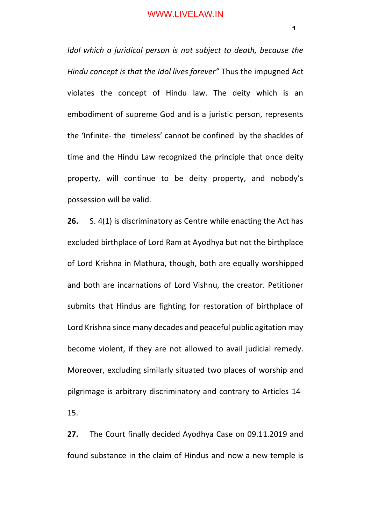*Idol which a juridical person is not subject to death, because the Hindu concept is that the Idol lives forever"* Thus the impugned Act violates the concept of Hindu law. The deity which is an embodiment of supreme God and is a juristic person, represents the 'Infinite- the timeless' cannot be confined by the shackles of time and the Hindu Law recognized the principle that once deity property, will continue to be deity property, and nobody's possession will be valid.

**26.** S. 4(1) is discriminatory as Centre while enacting the Act has excluded birthplace of Lord Ram at Ayodhya but not the birthplace of Lord Krishna in Mathura, though, both are equally worshipped and both are incarnations of Lord Vishnu, the creator. Petitioner submits that Hindus are fighting for restoration of birthplace of Lord Krishna since many decades and peaceful public agitation may become violent, if they are not allowed to avail judicial remedy. Moreover, excluding similarly situated two places of worship and pilgrimage is arbitrary discriminatory and contrary to Articles 14- 15.

**27.** The Court finally decided Ayodhya Case on 09.11.2019 and found substance in the claim of Hindus and now a new temple is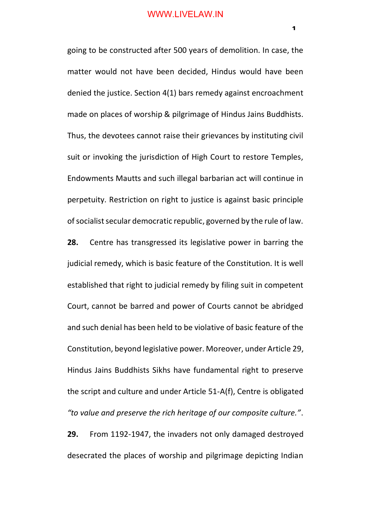going to be constructed after 500 years of demolition. In case, the matter would not have been decided, Hindus would have been denied the justice. Section 4(1) bars remedy against encroachment made on places of worship & pilgrimage of Hindus Jains Buddhists. Thus, the devotees cannot raise their grievances by instituting civil suit or invoking the jurisdiction of High Court to restore Temples, Endowments Mautts and such illegal barbarian act will continue in perpetuity. Restriction on right to justice is against basic principle of socialist secular democratic republic, governed by the rule of law.

**28.** Centre has transgressed its legislative power in barring the judicial remedy, which is basic feature of the Constitution. It is well established that right to judicial remedy by filing suit in competent Court, cannot be barred and power of Courts cannot be abridged and such denial has been held to be violative of basic feature of the Constitution, beyond legislative power. Moreover, under Article 29, Hindus Jains Buddhists Sikhs have fundamental right to preserve the script and culture and under Article 51-A(f), Centre is obligated *"to value and preserve the rich heritage of our composite culture."*.

**29.** From 1192-1947, the invaders not only damaged destroyed desecrated the places of worship and pilgrimage depicting Indian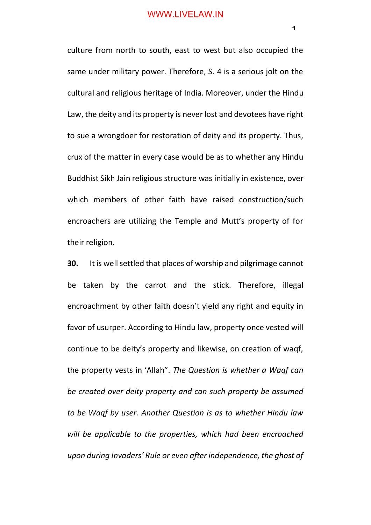culture from north to south, east to west but also occupied the same under military power. Therefore, S. 4 is a serious jolt on the cultural and religious heritage of India. Moreover, under the Hindu Law, the deity and its property is never lost and devotees have right to sue a wrongdoer for restoration of deity and its property. Thus, crux of the matter in every case would be as to whether any Hindu Buddhist Sikh Jain religious structure was initially in existence, over which members of other faith have raised construction/such encroachers are utilizing the Temple and Mutt's property of for their religion.

**30.** It is well settled that places of worship and pilgrimage cannot be taken by the carrot and the stick. Therefore, illegal encroachment by other faith doesn't yield any right and equity in favor of usurper. According to Hindu law, property once vested will continue to be deity's property and likewise, on creation of waqf, the property vests in 'Allah". *The Question is whether a Waqf can be created over deity property and can such property be assumed to be Waqf by user. Another Question is as to whether Hindu law will be applicable to the properties, which had been encroached upon during Invaders' Rule or even after independence, the ghost of*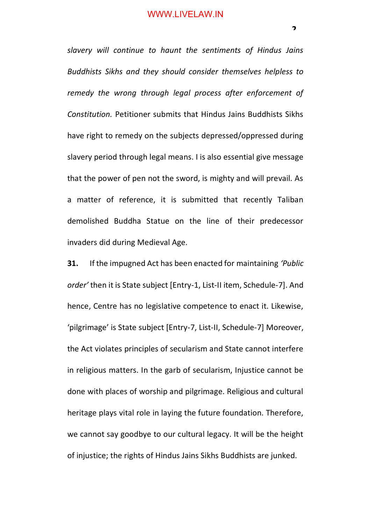*slavery will continue to haunt the sentiments of Hindus Jains Buddhists Sikhs and they should consider themselves helpless to remedy the wrong through legal process after enforcement of Constitution.* Petitioner submits that Hindus Jains Buddhists Sikhs have right to remedy on the subjects depressed/oppressed during slavery period through legal means. I is also essential give message that the power of pen not the sword, is mighty and will prevail. As a matter of reference, it is submitted that recently Taliban demolished Buddha Statue on the line of their predecessor invaders did during Medieval Age.

**31.** If the impugned Act has been enacted for maintaining *'Public order'* then it is State subject [Entry-1, List-II item, Schedule-7]. And hence, Centre has no legislative competence to enact it. Likewise, 'pilgrimage' is State subject [Entry-7, List-II, Schedule-7] Moreover, the Act violates principles of secularism and State cannot interfere in religious matters. In the garb of secularism, Injustice cannot be done with places of worship and pilgrimage. Religious and cultural heritage plays vital role in laying the future foundation. Therefore, we cannot say goodbye to our cultural legacy. It will be the height of injustice; the rights of Hindus Jains Sikhs Buddhists are junked.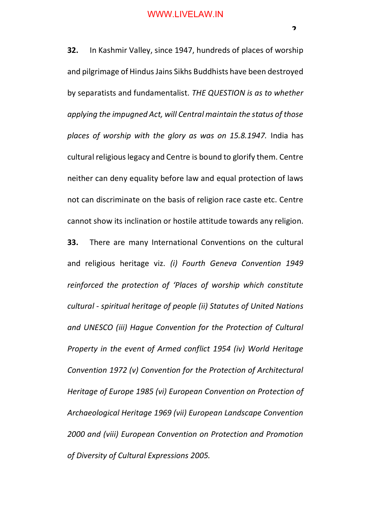**32.** In Kashmir Valley, since 1947, hundreds of places of worship and pilgrimage of Hindus Jains Sikhs Buddhists have been destroyed by separatists and fundamentalist. *THE QUESTION is as to whether applying the impugned Act, will Central maintain the status of those places of worship with the glory as was on 15.8.1947.* India has cultural religious legacy and Centre is bound to glorify them. Centre neither can deny equality before law and equal protection of laws not can discriminate on the basis of religion race caste etc. Centre cannot show its inclination or hostile attitude towards any religion. **33.** There are many International Conventions on the cultural and religious heritage viz. *(i) Fourth Geneva Convention 1949 reinforced the protection of 'Places of worship which constitute cultural - spiritual heritage of people (ii) Statutes of United Nations and UNESCO (iii) Hague Convention for the Protection of Cultural Property in the event of Armed conflict 1954 (iv) World Heritage Convention 1972 (v) Convention for the Protection of Architectural Heritage of Europe 1985 (vi) European Convention on Protection of Archaeological Heritage 1969 (vii) European Landscape Convention* 

*2000 and (viii) European Convention on Protection and Promotion of Diversity of Cultural Expressions 2005.*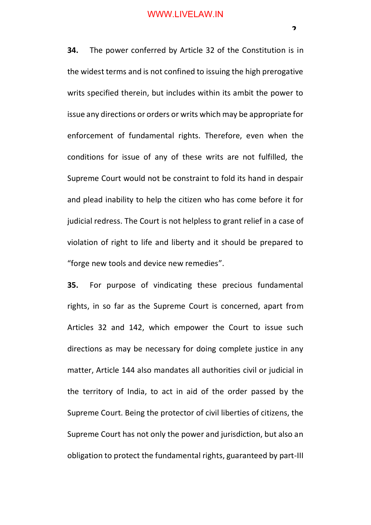**34.** The power conferred by Article 32 of the Constitution is in the widest terms and is not confined to issuing the high prerogative writs specified therein, but includes within its ambit the power to issue any directions or orders or writs which may be appropriate for enforcement of fundamental rights. Therefore, even when the conditions for issue of any of these writs are not fulfilled, the Supreme Court would not be constraint to fold its hand in despair and plead inability to help the citizen who has come before it for judicial redress. The Court is not helpless to grant relief in a case of violation of right to life and liberty and it should be prepared to "forge new tools and device new remedies".

**35.** For purpose of vindicating these precious fundamental rights, in so far as the Supreme Court is concerned, apart from Articles 32 and 142, which empower the Court to issue such directions as may be necessary for doing complete justice in any matter, Article 144 also mandates all authorities civil or judicial in the territory of India, to act in aid of the order passed by the Supreme Court. Being the protector of civil liberties of citizens, the Supreme Court has not only the power and jurisdiction, but also an obligation to protect the fundamental rights, guaranteed by part-III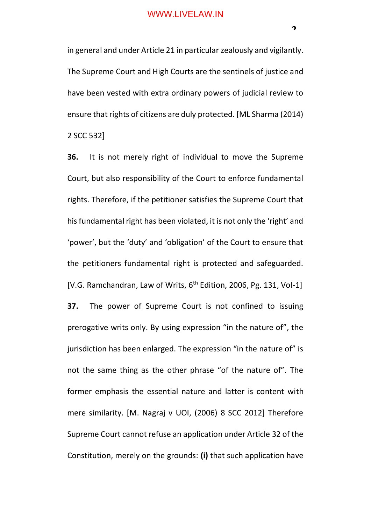in general and under Article 21 in particular zealously and vigilantly. The Supreme Court and High Courts are the sentinels of justice and have been vested with extra ordinary powers of judicial review to ensure that rights of citizens are duly protected. [ML Sharma (2014) 2 SCC 532]

**36.** It is not merely right of individual to move the Supreme Court, but also responsibility of the Court to enforce fundamental rights. Therefore, if the petitioner satisfies the Supreme Court that his fundamental right has been violated, it is not only the 'right' and 'power', but the 'duty' and 'obligation' of the Court to ensure that the petitioners fundamental right is protected and safeguarded. [V.G. Ramchandran, Law of Writs, 6<sup>th</sup> Edition, 2006, Pg. 131, Vol-1] **37.** The power of Supreme Court is not confined to issuing prerogative writs only. By using expression "in the nature of", the jurisdiction has been enlarged. The expression "in the nature of" is not the same thing as the other phrase "of the nature of". The former emphasis the essential nature and latter is content with mere similarity. [M. Nagraj v UOI, (2006) 8 SCC 2012] Therefore Supreme Court cannot refuse an application under Article 32 of the Constitution, merely on the grounds: **(i)** that such application have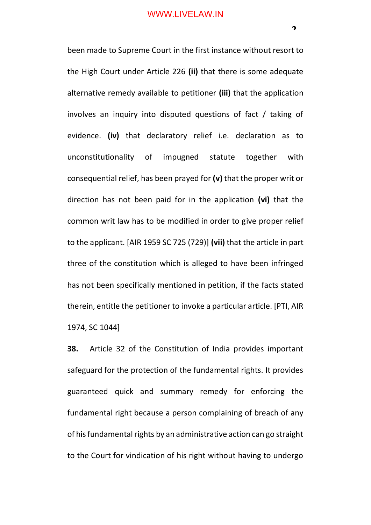been made to Supreme Court in the first instance without resort to the High Court under Article 226 **(ii)** that there is some adequate alternative remedy available to petitioner **(iii)** that the application involves an inquiry into disputed questions of fact / taking of evidence. **(iv)** that declaratory relief i.e. declaration as to unconstitutionality of impugned statute together with consequential relief, has been prayed for **(v)** that the proper writ or direction has not been paid for in the application **(vi)** that the common writ law has to be modified in order to give proper relief to the applicant. [AIR 1959 SC 725 (729)] **(vii)** that the article in part three of the constitution which is alleged to have been infringed has not been specifically mentioned in petition, if the facts stated therein, entitle the petitioner to invoke a particular article. [PTI, AIR 1974, SC 1044]

**38.** Article 32 of the Constitution of India provides important safeguard for the protection of the fundamental rights. It provides guaranteed quick and summary remedy for enforcing the fundamental right because a person complaining of breach of any of his fundamental rights by an administrative action can go straight to the Court for vindication of his right without having to undergo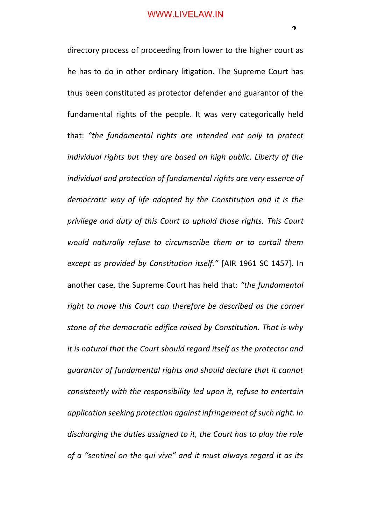directory process of proceeding from lower to the higher court as he has to do in other ordinary litigation. The Supreme Court has thus been constituted as protector defender and guarantor of the fundamental rights of the people. It was very categorically held that: *"the fundamental rights are intended not only to protect individual rights but they are based on high public. Liberty of the individual and protection of fundamental rights are very essence of democratic way of life adopted by the Constitution and it is the privilege and duty of this Court to uphold those rights. This Court would naturally refuse to circumscribe them or to curtail them except as provided by Constitution itself."* [AIR 1961 SC 1457]. In another case, the Supreme Court has held that: *"the fundamental right to move this Court can therefore be described as the corner stone of the democratic edifice raised by Constitution. That is why it is natural that the Court should regard itself as the protector and guarantor of fundamental rights and should declare that it cannot consistently with the responsibility led upon it, refuse to entertain application seeking protection against infringement of such right. In discharging the duties assigned to it, the Court has to play the role of a "sentinel on the qui vive" and it must always regard it as its*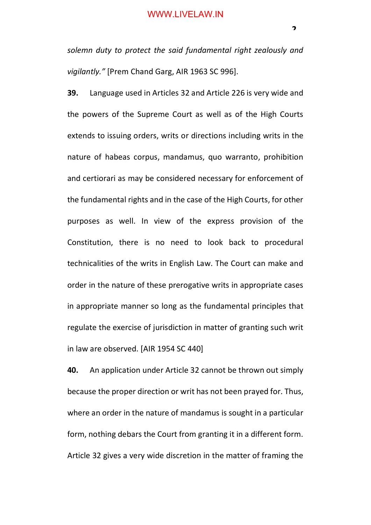*solemn duty to protect the said fundamental right zealously and vigilantly."* [Prem Chand Garg, AIR 1963 SC 996].

**39.** Language used in Articles 32 and Article 226 is very wide and the powers of the Supreme Court as well as of the High Courts extends to issuing orders, writs or directions including writs in the nature of habeas corpus, mandamus, quo warranto, prohibition and certiorari as may be considered necessary for enforcement of the fundamental rights and in the case of the High Courts, for other purposes as well. In view of the express provision of the Constitution, there is no need to look back to procedural technicalities of the writs in English Law. The Court can make and order in the nature of these prerogative writs in appropriate cases in appropriate manner so long as the fundamental principles that regulate the exercise of jurisdiction in matter of granting such writ in law are observed. [AIR 1954 SC 440]

**40.** An application under Article 32 cannot be thrown out simply because the proper direction or writ has not been prayed for. Thus, where an order in the nature of mandamus is sought in a particular form, nothing debars the Court from granting it in a different form. Article 32 gives a very wide discretion in the matter of framing the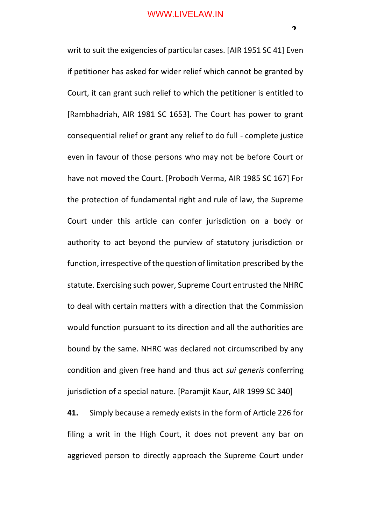writ to suit the exigencies of particular cases. [AIR 1951 SC 41] Even if petitioner has asked for wider relief which cannot be granted by Court, it can grant such relief to which the petitioner is entitled to [Rambhadriah, AIR 1981 SC 1653]. The Court has power to grant consequential relief or grant any relief to do full - complete justice even in favour of those persons who may not be before Court or have not moved the Court. [Probodh Verma, AIR 1985 SC 167] For the protection of fundamental right and rule of law, the Supreme Court under this article can confer jurisdiction on a body or authority to act beyond the purview of statutory jurisdiction or function, irrespective of the question of limitation prescribed by the statute. Exercising such power, Supreme Court entrusted the NHRC to deal with certain matters with a direction that the Commission would function pursuant to its direction and all the authorities are bound by the same. NHRC was declared not circumscribed by any condition and given free hand and thus act *sui generis* conferring jurisdiction of a special nature. [Paramjit Kaur, AIR 1999 SC 340]

**41.** Simply because a remedy exists in the form of Article 226 for filing a writ in the High Court, it does not prevent any bar on aggrieved person to directly approach the Supreme Court under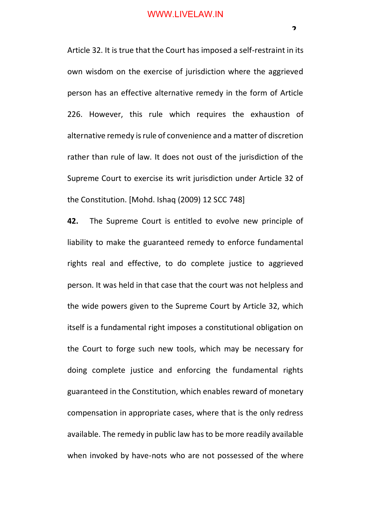Article 32. It is true that the Court has imposed a self-restraint in its own wisdom on the exercise of jurisdiction where the aggrieved person has an effective alternative remedy in the form of Article 226. However, this rule which requires the exhaustion of alternative remedy is rule of convenience and a matter of discretion rather than rule of law. It does not oust of the jurisdiction of the Supreme Court to exercise its writ jurisdiction under Article 32 of the Constitution. [Mohd. Ishaq (2009) 12 SCC 748]

**42.** The Supreme Court is entitled to evolve new principle of liability to make the guaranteed remedy to enforce fundamental rights real and effective, to do complete justice to aggrieved person. It was held in that case that the court was not helpless and the wide powers given to the Supreme Court by Article 32, which itself is a fundamental right imposes a constitutional obligation on the Court to forge such new tools, which may be necessary for doing complete justice and enforcing the fundamental rights guaranteed in the Constitution, which enables reward of monetary compensation in appropriate cases, where that is the only redress available. The remedy in public law has to be more readily available when invoked by have-nots who are not possessed of the where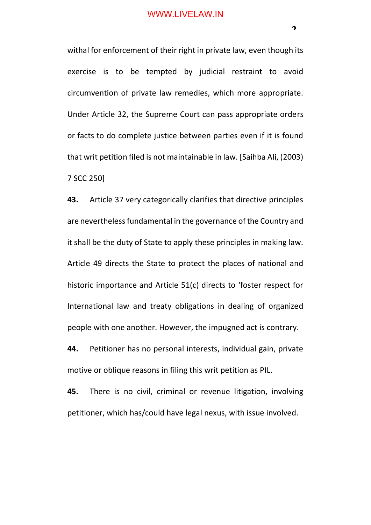withal for enforcement of their right in private law, even though its exercise is to be tempted by judicial restraint to avoid circumvention of private law remedies, which more appropriate. Under Article 32, the Supreme Court can pass appropriate orders or facts to do complete justice between parties even if it is found that writ petition filed is not maintainable in law. [Saihba Ali, (2003) 7 SCC 250]

**43.** Article 37 very categorically clarifies that directive principles are nevertheless fundamental in the governance of the Country and it shall be the duty of State to apply these principles in making law. Article 49 directs the State to protect the places of national and historic importance and Article 51(c) directs to 'foster respect for International law and treaty obligations in dealing of organized people with one another. However, the impugned act is contrary.

**44.** Petitioner has no personal interests, individual gain, private motive or oblique reasons in filing this writ petition as PIL.

**45.** There is no civil, criminal or revenue litigation, involving petitioner, which has/could have legal nexus, with issue involved.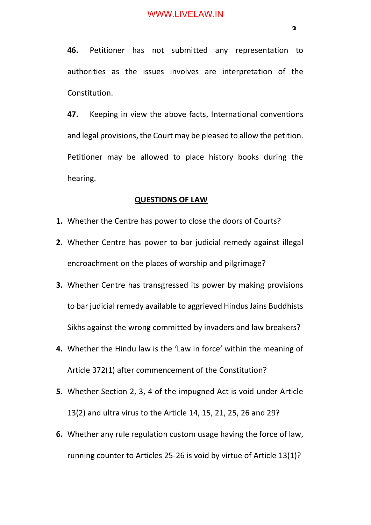**47.** Keeping in view the above facts, International conventions and legal provisions, the Court may be pleased to allow the petition. Petitioner may be allowed to place history books during the hearing.

#### **QUESTIONS OF LAW**

- **1.** Whether the Centre has power to close the doors of Courts?
- **2.** Whether Centre has power to bar judicial remedy against illegal encroachment on the places of worship and pilgrimage?
- **3.** Whether Centre has transgressed its power by making provisions to bar judicial remedy available to aggrieved Hindus Jains Buddhists Sikhs against the wrong committed by invaders and law breakers?
- **4.** Whether the Hindu law is the 'Law in force' within the meaning of Article 372(1) after commencement of the Constitution?
- **5.** Whether Section 2, 3, 4 of the impugned Act is void under Article 13(2) and ultra virus to the Article 14, 15, 21, 25, 26 and 29?
- **6.** Whether any rule regulation custom usage having the force of law, running counter to Articles 25-26 is void by virtue of Article 13(1)?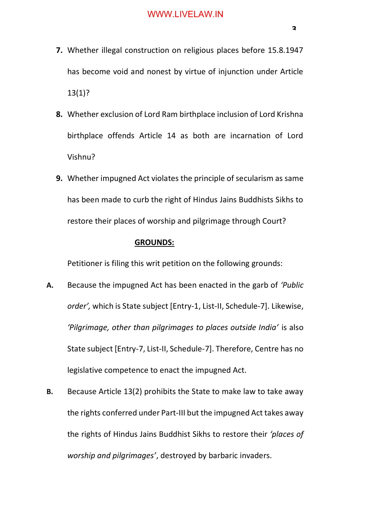- **7.** Whether illegal construction on religious places before 15.8.1947 has become void and nonest by virtue of injunction under Article 13(1)?
- **8.** Whether exclusion of Lord Ram birthplace inclusion of Lord Krishna birthplace offends Article 14 as both are incarnation of Lord Vishnu?
- **9.** Whether impugned Act violates the principle of secularism as same has been made to curb the right of Hindus Jains Buddhists Sikhs to restore their places of worship and pilgrimage through Court?

## **GROUNDS:**

Petitioner is filing this writ petition on the following grounds:

- **A.** Because the impugned Act has been enacted in the garb of *'Public order',* which is State subject [Entry-1, List-II, Schedule-7]. Likewise, *'Pilgrimage, other than pilgrimages to places outside India'* is also State subject [Entry-7, List-II, Schedule-7]. Therefore, Centre has no legislative competence to enact the impugned Act.
- **B.** Because Article 13(2) prohibits the State to make law to take away the rights conferred under Part-III but the impugned Act takes away the rights of Hindus Jains Buddhist Sikhs to restore their *'places of worship and pilgrimages'*, destroyed by barbaric invaders.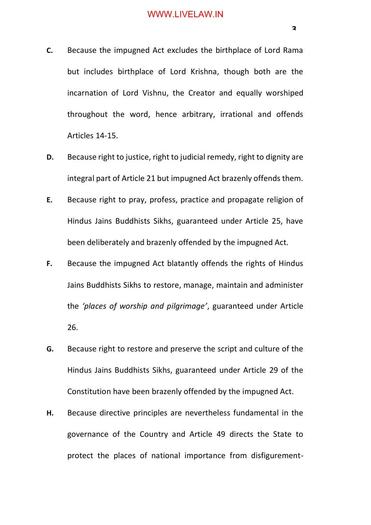- **C.** Because the impugned Act excludes the birthplace of Lord Rama but includes birthplace of Lord Krishna, though both are the incarnation of Lord Vishnu, the Creator and equally worshiped throughout the word, hence arbitrary, irrational and offends Articles 14-15.
- **D.** Because right to justice, right to judicial remedy, right to dignity are integral part of Article 21 but impugned Act brazenly offends them.
- **E.** Because right to pray, profess, practice and propagate religion of Hindus Jains Buddhists Sikhs, guaranteed under Article 25, have been deliberately and brazenly offended by the impugned Act.
- **F.** Because the impugned Act blatantly offends the rights of Hindus Jains Buddhists Sikhs to restore, manage, maintain and administer the *'places of worship and pilgrimage'*, guaranteed under Article 26.
- **G.** Because right to restore and preserve the script and culture of the Hindus Jains Buddhists Sikhs, guaranteed under Article 29 of the Constitution have been brazenly offended by the impugned Act.
- **H.** Because directive principles are nevertheless fundamental in the governance of the Country and Article 49 directs the State to protect the places of national importance from disfigurement-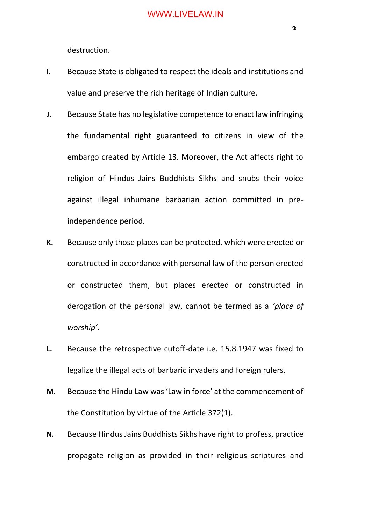destruction.

- **I.** Because State is obligated to respect the ideals and institutions and value and preserve the rich heritage of Indian culture.
- **J.** Because State has no legislative competence to enact law infringing the fundamental right guaranteed to citizens in view of the embargo created by Article 13. Moreover, the Act affects right to religion of Hindus Jains Buddhists Sikhs and snubs their voice against illegal inhumane barbarian action committed in preindependence period.
- **K.** Because only those places can be protected, which were erected or constructed in accordance with personal law of the person erected or constructed them, but places erected or constructed in derogation of the personal law, cannot be termed as a *'place of worship'*.
- **L.** Because the retrospective cutoff-date i.e. 15.8.1947 was fixed to legalize the illegal acts of barbaric invaders and foreign rulers.
- **M.** Because the Hindu Law was 'Law in force' at the commencement of the Constitution by virtue of the Article 372(1).
- **N.** Because Hindus Jains Buddhists Sikhs have right to profess, practice propagate religion as provided in their religious scriptures and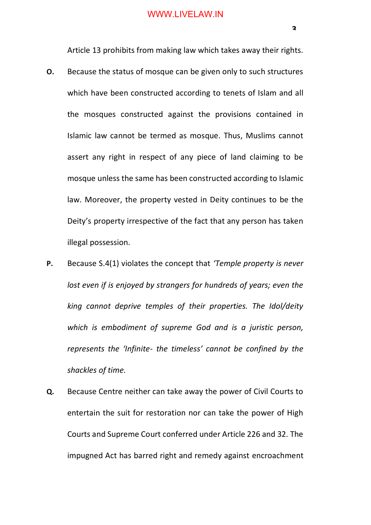Article 13 prohibits from making law which takes away their rights.

- **O.** Because the status of mosque can be given only to such structures which have been constructed according to tenets of Islam and all the mosques constructed against the provisions contained in Islamic law cannot be termed as mosque. Thus, Muslims cannot assert any right in respect of any piece of land claiming to be mosque unless the same has been constructed according to Islamic law. Moreover, the property vested in Deity continues to be the Deity's property irrespective of the fact that any person has taken illegal possession.
- **P.** Because S.4(1) violates the concept that *'Temple property is never lost even if is enjoyed by strangers for hundreds of years; even the king cannot deprive temples of their properties. The Idol/deity which is embodiment of supreme God and is a juristic person, represents the 'Infinite- the timeless' cannot be confined by the shackles of time.*
- **Q.** Because Centre neither can take away the power of Civil Courts to entertain the suit for restoration nor can take the power of High Courts and Supreme Court conferred under Article 226 and 32. The impugned Act has barred right and remedy against encroachment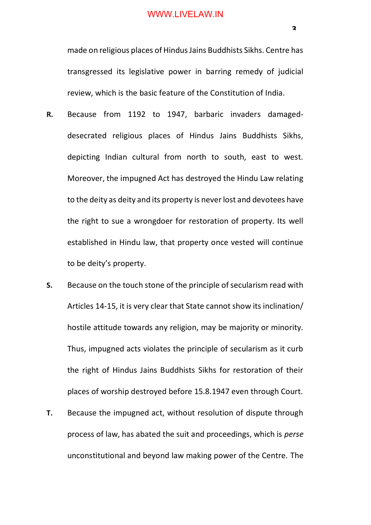made on religious places of Hindus Jains Buddhists Sikhs. Centre has transgressed its legislative power in barring remedy of judicial review, which is the basic feature of the Constitution of India.

- **R.** Because from 1192 to 1947, barbaric invaders damageddesecrated religious places of Hindus Jains Buddhists Sikhs, depicting Indian cultural from north to south, east to west. Moreover, the impugned Act has destroyed the Hindu Law relating to the deity as deity and its property is never lost and devotees have the right to sue a wrongdoer for restoration of property. Its well established in Hindu law, that property once vested will continue to be deity's property.
- **S.** Because on the touch stone of the principle of secularism read with Articles 14-15, it is very clear that State cannot show its inclination/ hostile attitude towards any religion, may be majority or minority. Thus, impugned acts violates the principle of secularism as it curb the right of Hindus Jains Buddhists Sikhs for restoration of their places of worship destroyed before 15.8.1947 even through Court.
- **T.** Because the impugned act, without resolution of dispute through process of law, has abated the suit and proceedings, which is *perse* unconstitutional and beyond law making power of the Centre. The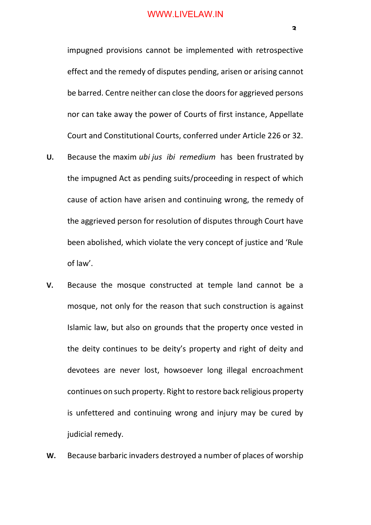impugned provisions cannot be implemented with retrospective effect and the remedy of disputes pending, arisen or arising cannot be barred. Centre neither can close the doors for aggrieved persons nor can take away the power of Courts of first instance, Appellate Court and Constitutional Courts, conferred under Article 226 or 32.

- **U.** Because the maxim *ubi jus ibi remedium* has been frustrated by the impugned Act as pending suits/proceeding in respect of which cause of action have arisen and continuing wrong, the remedy of the aggrieved person for resolution of disputes through Court have been abolished, which violate the very concept of justice and 'Rule of law'.
- **V.** Because the mosque constructed at temple land cannot be a mosque, not only for the reason that such construction is against Islamic law, but also on grounds that the property once vested in the deity continues to be deity's property and right of deity and devotees are never lost, howsoever long illegal encroachment continues on such property. Right to restore back religious property is unfettered and continuing wrong and injury may be cured by judicial remedy.
- **W.** Because barbaric invaders destroyed a number of places of worship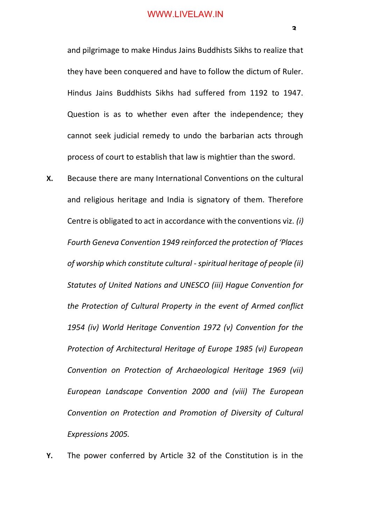and pilgrimage to make Hindus Jains Buddhists Sikhs to realize that they have been conquered and have to follow the dictum of Ruler. Hindus Jains Buddhists Sikhs had suffered from 1192 to 1947. Question is as to whether even after the independence; they cannot seek judicial remedy to undo the barbarian acts through process of court to establish that law is mightier than the sword.

- **X.** Because there are many International Conventions on the cultural and religious heritage and India is signatory of them. Therefore Centre is obligated to act in accordance with the conventions viz. *(i) Fourth Geneva Convention 1949 reinforced the protection of 'Places of worship which constitute cultural -spiritual heritage of people (ii) Statutes of United Nations and UNESCO (iii) Hague Convention for the Protection of Cultural Property in the event of Armed conflict 1954 (iv) World Heritage Convention 1972 (v) Convention for the Protection of Architectural Heritage of Europe 1985 (vi) European Convention on Protection of Archaeological Heritage 1969 (vii) European Landscape Convention 2000 and (viii) The European Convention on Protection and Promotion of Diversity of Cultural Expressions 2005.*
- **Y.** The power conferred by Article 32 of the Constitution is in the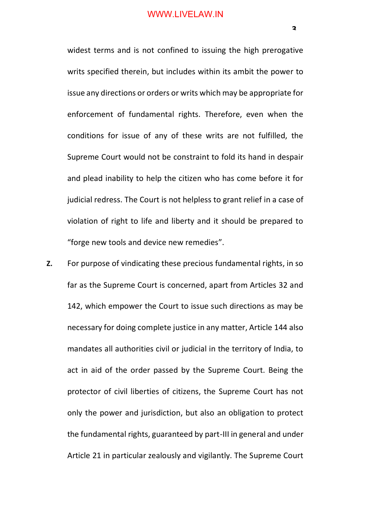widest terms and is not confined to issuing the high prerogative writs specified therein, but includes within its ambit the power to issue any directions or orders or writs which may be appropriate for enforcement of fundamental rights. Therefore, even when the conditions for issue of any of these writs are not fulfilled, the Supreme Court would not be constraint to fold its hand in despair and plead inability to help the citizen who has come before it for judicial redress. The Court is not helpless to grant relief in a case of violation of right to life and liberty and it should be prepared to "forge new tools and device new remedies".

**Z.** For purpose of vindicating these precious fundamental rights, in so far as the Supreme Court is concerned, apart from Articles 32 and 142, which empower the Court to issue such directions as may be necessary for doing complete justice in any matter, Article 144 also mandates all authorities civil or judicial in the territory of India, to act in aid of the order passed by the Supreme Court. Being the protector of civil liberties of citizens, the Supreme Court has not only the power and jurisdiction, but also an obligation to protect the fundamental rights, guaranteed by part-III in general and under Article 21 in particular zealously and vigilantly. The Supreme Court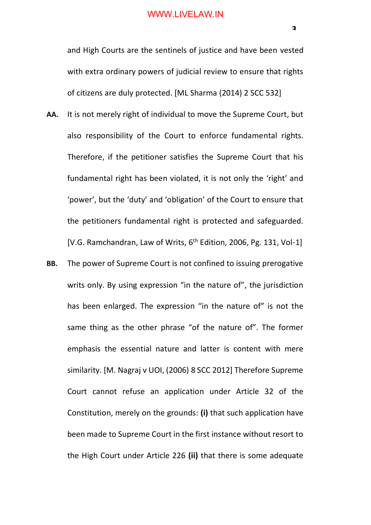and High Courts are the sentinels of justice and have been vested with extra ordinary powers of judicial review to ensure that rights of citizens are duly protected. [ML Sharma (2014) 2 SCC 532]

- **AA.** It is not merely right of individual to move the Supreme Court, but also responsibility of the Court to enforce fundamental rights. Therefore, if the petitioner satisfies the Supreme Court that his fundamental right has been violated, it is not only the 'right' and 'power', but the 'duty' and 'obligation' of the Court to ensure that the petitioners fundamental right is protected and safeguarded. [V.G. Ramchandran, Law of Writs,  $6<sup>th</sup>$  Edition, 2006, Pg. 131, Vol-1]
- **BB.** The power of Supreme Court is not confined to issuing prerogative writs only. By using expression "in the nature of", the jurisdiction has been enlarged. The expression "in the nature of" is not the same thing as the other phrase "of the nature of". The former emphasis the essential nature and latter is content with mere similarity. [M. Nagraj v UOI, (2006) 8 SCC 2012] Therefore Supreme Court cannot refuse an application under Article 32 of the Constitution, merely on the grounds: **(i)** that such application have been made to Supreme Court in the first instance without resort to the High Court under Article 226 **(ii)** that there is some adequate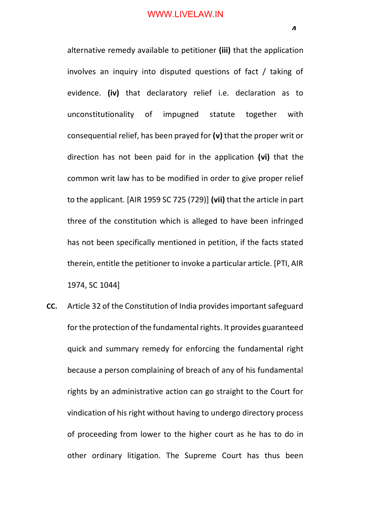alternative remedy available to petitioner **(iii)** that the application involves an inquiry into disputed questions of fact / taking of evidence. **(iv)** that declaratory relief i.e. declaration as to unconstitutionality of impugned statute together with consequential relief, has been prayed for **(v)** that the proper writ or direction has not been paid for in the application **(vi)** that the common writ law has to be modified in order to give proper relief to the applicant. [AIR 1959 SC 725 (729)] **(vii)** that the article in part three of the constitution which is alleged to have been infringed has not been specifically mentioned in petition, if the facts stated therein, entitle the petitioner to invoke a particular article. [PTI, AIR 1974, SC 1044]

**CC.** Article 32 of the Constitution of India provides important safeguard for the protection of the fundamental rights. It provides guaranteed quick and summary remedy for enforcing the fundamental right because a person complaining of breach of any of his fundamental rights by an administrative action can go straight to the Court for vindication of his right without having to undergo directory process of proceeding from lower to the higher court as he has to do in other ordinary litigation. The Supreme Court has thus been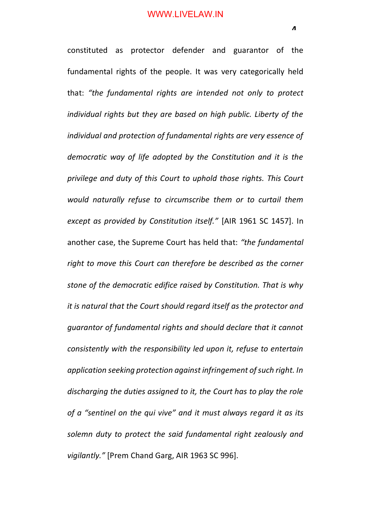constituted as protector defender and guarantor of the fundamental rights of the people. It was very categorically held that: *"the fundamental rights are intended not only to protect individual rights but they are based on high public. Liberty of the individual and protection of fundamental rights are very essence of democratic way of life adopted by the Constitution and it is the privilege and duty of this Court to uphold those rights. This Court would naturally refuse to circumscribe them or to curtail them except as provided by Constitution itself."* [AIR 1961 SC 1457]. In another case, the Supreme Court has held that: *"the fundamental right to move this Court can therefore be described as the corner stone of the democratic edifice raised by Constitution. That is why it is natural that the Court should regard itself as the protector and guarantor of fundamental rights and should declare that it cannot consistently with the responsibility led upon it, refuse to entertain application seeking protection against infringement of such right. In discharging the duties assigned to it, the Court has to play the role of a "sentinel on the qui vive" and it must always regard it as its solemn duty to protect the said fundamental right zealously and vigilantly."* [Prem Chand Garg, AIR 1963 SC 996].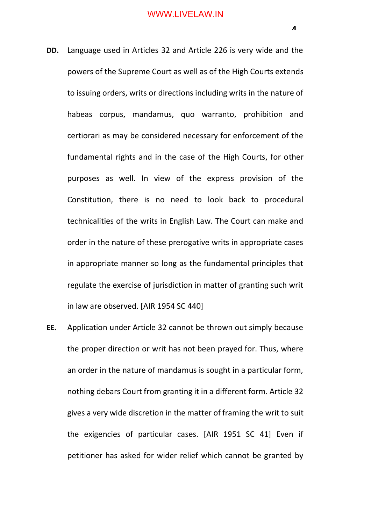- **DD.** Language used in Articles 32 and Article 226 is very wide and the powers of the Supreme Court as well as of the High Courts extends to issuing orders, writs or directions including writs in the nature of habeas corpus, mandamus, quo warranto, prohibition and certiorari as may be considered necessary for enforcement of the fundamental rights and in the case of the High Courts, for other purposes as well. In view of the express provision of the Constitution, there is no need to look back to procedural technicalities of the writs in English Law. The Court can make and order in the nature of these prerogative writs in appropriate cases in appropriate manner so long as the fundamental principles that regulate the exercise of jurisdiction in matter of granting such writ in law are observed. [AIR 1954 SC 440]
- **EE.** Application under Article 32 cannot be thrown out simply because the proper direction or writ has not been prayed for. Thus, where an order in the nature of mandamus is sought in a particular form, nothing debars Court from granting it in a different form. Article 32 gives a very wide discretion in the matter of framing the writ to suit the exigencies of particular cases. [AIR 1951 SC 41] Even if petitioner has asked for wider relief which cannot be granted by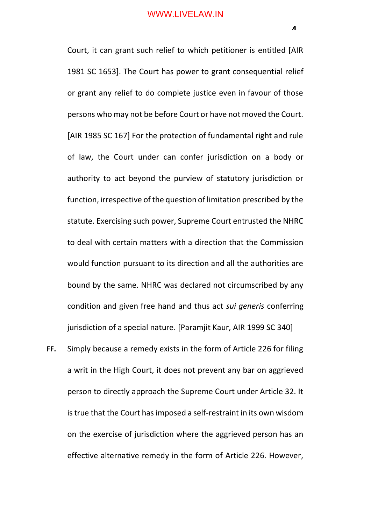Court, it can grant such relief to which petitioner is entitled [AIR 1981 SC 1653]. The Court has power to grant consequential relief or grant any relief to do complete justice even in favour of those persons who may not be before Court or have not moved the Court. [AIR 1985 SC 167] For the protection of fundamental right and rule of law, the Court under can confer jurisdiction on a body or authority to act beyond the purview of statutory jurisdiction or function, irrespective of the question of limitation prescribed by the statute. Exercising such power, Supreme Court entrusted the NHRC to deal with certain matters with a direction that the Commission would function pursuant to its direction and all the authorities are bound by the same. NHRC was declared not circumscribed by any condition and given free hand and thus act *sui generis* conferring jurisdiction of a special nature. [Paramjit Kaur, AIR 1999 SC 340]

**FF.** Simply because a remedy exists in the form of Article 226 for filing a writ in the High Court, it does not prevent any bar on aggrieved person to directly approach the Supreme Court under Article 32. It is true that the Court has imposed a self-restraint in its own wisdom on the exercise of jurisdiction where the aggrieved person has an effective alternative remedy in the form of Article 226. However,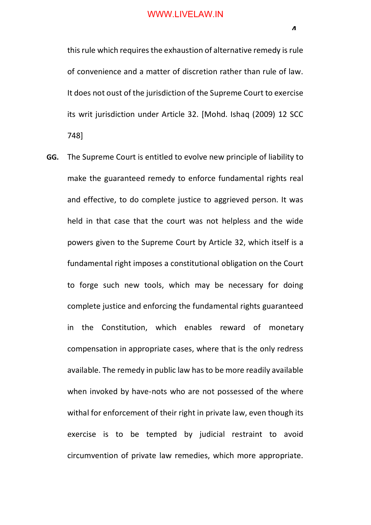this rule which requires the exhaustion of alternative remedy is rule of convenience and a matter of discretion rather than rule of law. It does not oust of the jurisdiction of the Supreme Court to exercise its writ jurisdiction under Article 32. [Mohd. Ishaq (2009) 12 SCC 748]

**GG.** The Supreme Court is entitled to evolve new principle of liability to make the guaranteed remedy to enforce fundamental rights real and effective, to do complete justice to aggrieved person. It was held in that case that the court was not helpless and the wide powers given to the Supreme Court by Article 32, which itself is a fundamental right imposes a constitutional obligation on the Court to forge such new tools, which may be necessary for doing complete justice and enforcing the fundamental rights guaranteed in the Constitution, which enables reward of monetary compensation in appropriate cases, where that is the only redress available. The remedy in public law has to be more readily available when invoked by have-nots who are not possessed of the where withal for enforcement of their right in private law, even though its exercise is to be tempted by judicial restraint to avoid circumvention of private law remedies, which more appropriate.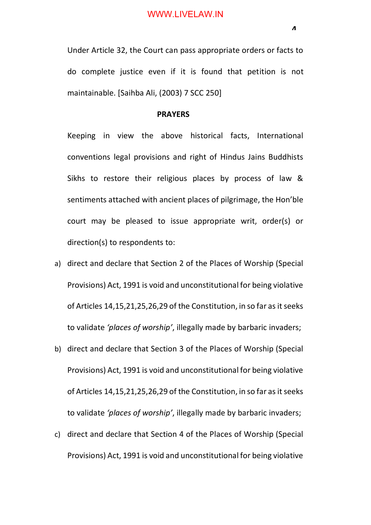Under Article 32, the Court can pass appropriate orders or facts to do complete justice even if it is found that petition is not maintainable. [Saihba Ali, (2003) 7 SCC 250]

#### **PRAYERS**

Keeping in view the above historical facts, International conventions legal provisions and right of Hindus Jains Buddhists Sikhs to restore their religious places by process of law & sentiments attached with ancient places of pilgrimage, the Hon'ble court may be pleased to issue appropriate writ, order(s) or direction(s) to respondents to:

- a) direct and declare that Section 2 of the Places of Worship (Special Provisions) Act, 1991 is void and unconstitutional for being violative of Articles 14,15,21,25,26,29 of the Constitution, in so far as it seeks to validate *'places of worship'*, illegally made by barbaric invaders;
- b) direct and declare that Section 3 of the Places of Worship (Special Provisions) Act, 1991 is void and unconstitutional for being violative of Articles 14,15,21,25,26,29 of the Constitution, in so far as it seeks to validate *'places of worship'*, illegally made by barbaric invaders;
- c) direct and declare that Section 4 of the Places of Worship (Special Provisions) Act, 1991 is void and unconstitutional for being violative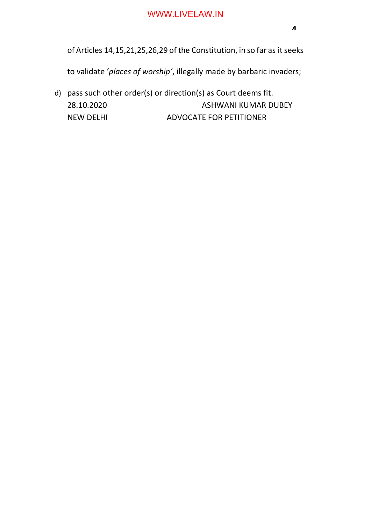of Articles 14,15,21,25,26,29 of the Constitution, in so far as it seeks

to validate '*places of worship'*, illegally made by barbaric invaders;

d) pass such other order(s) or direction(s) as Court deems fit. 28.10.2020 ASHWANI KUMAR DUBEY NEW DELHI ADVOCATE FOR PETITIONER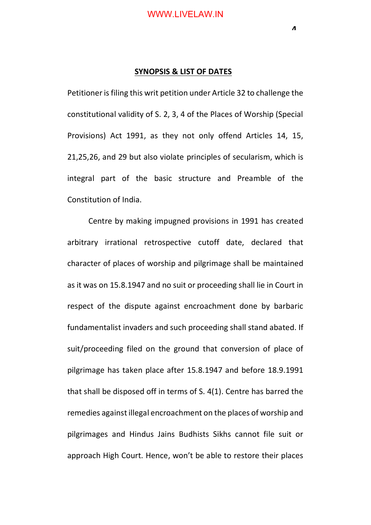**4**

#### **SYNOPSIS & LIST OF DATES**

Petitioner is filing this writ petition under Article 32 to challenge the constitutional validity of S. 2, 3, 4 of the Places of Worship (Special Provisions) Act 1991, as they not only offend Articles 14, 15, 21,25,26, and 29 but also violate principles of secularism, which is integral part of the basic structure and Preamble of the Constitution of India.

Centre by making impugned provisions in 1991 has created arbitrary irrational retrospective cutoff date, declared that character of places of worship and pilgrimage shall be maintained as it was on 15.8.1947 and no suit or proceeding shall lie in Court in respect of the dispute against encroachment done by barbaric fundamentalist invaders and such proceeding shall stand abated. If suit/proceeding filed on the ground that conversion of place of pilgrimage has taken place after 15.8.1947 and before 18.9.1991 that shall be disposed off in terms of S. 4(1). Centre has barred the remedies against illegal encroachment on the places of worship and pilgrimages and Hindus Jains Budhists Sikhs cannot file suit or approach High Court. Hence, won't be able to restore their places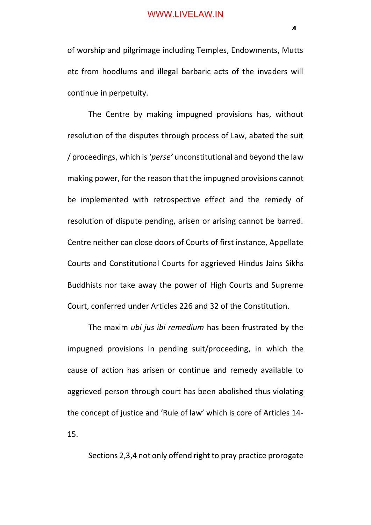of worship and pilgrimage including Temples, Endowments, Mutts etc from hoodlums and illegal barbaric acts of the invaders will continue in perpetuity.

The Centre by making impugned provisions has, without resolution of the disputes through process of Law, abated the suit / proceedings, which is '*perse'* unconstitutional and beyond the law making power, for the reason that the impugned provisions cannot be implemented with retrospective effect and the remedy of resolution of dispute pending, arisen or arising cannot be barred. Centre neither can close doors of Courts of first instance, Appellate Courts and Constitutional Courts for aggrieved Hindus Jains Sikhs Buddhists nor take away the power of High Courts and Supreme Court, conferred under Articles 226 and 32 of the Constitution.

The maxim *ubi jus ibi remedium* has been frustrated by the impugned provisions in pending suit/proceeding, in which the cause of action has arisen or continue and remedy available to aggrieved person through court has been abolished thus violating the concept of justice and 'Rule of law' which is core of Articles 14- 15.

Sections 2,3,4 not only offend right to pray practice prorogate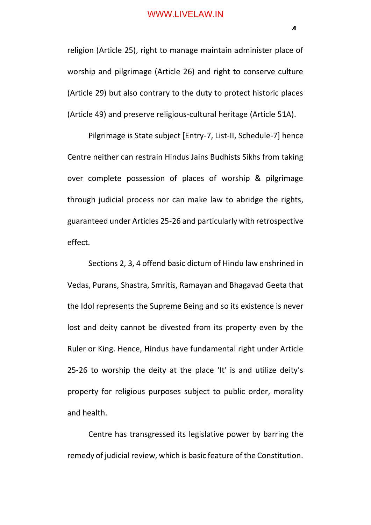religion (Article 25), right to manage maintain administer place of worship and pilgrimage (Article 26) and right to conserve culture (Article 29) but also contrary to the duty to protect historic places (Article 49) and preserve religious-cultural heritage (Article 51A).

Pilgrimage is State subject [Entry-7, List-II, Schedule-7] hence Centre neither can restrain Hindus Jains Budhists Sikhs from taking over complete possession of places of worship & pilgrimage through judicial process nor can make law to abridge the rights, guaranteed under Articles 25-26 and particularly with retrospective effect.

Sections 2, 3, 4 offend basic dictum of Hindu law enshrined in Vedas, Purans, Shastra, Smritis, Ramayan and Bhagavad Geeta that the Idol represents the Supreme Being and so its existence is never lost and deity cannot be divested from its property even by the Ruler or King. Hence, Hindus have fundamental right under Article 25-26 to worship the deity at the place 'It' is and utilize deity's property for religious purposes subject to public order, morality and health.

Centre has transgressed its legislative power by barring the remedy of judicial review, which is basic feature of the Constitution.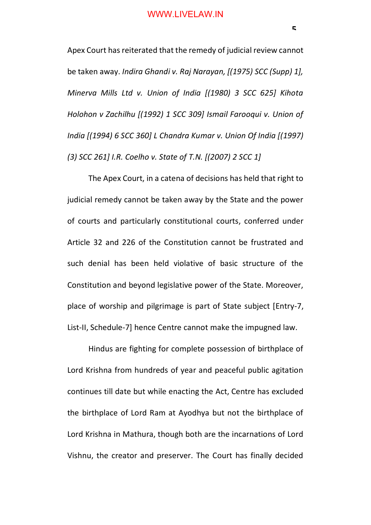Apex Court has reiterated that the remedy of judicial review cannot be taken away. *Indira Ghandi v. Raj Narayan, [(1975) SCC (Supp) 1], Minerva Mills Ltd v. Union of India [(1980) 3 SCC 625] Kihota Holohon v Zachilhu [(1992) 1 SCC 309] Ismail Farooqui v. Union of India [(1994) 6 SCC 360] L Chandra Kumar v. Union Of India [(1997) (3) SCC 261] I.R. Coelho v. State of T.N. [(2007) 2 SCC 1]*

The Apex Court, in a catena of decisions has held that right to judicial remedy cannot be taken away by the State and the power of courts and particularly constitutional courts, conferred under Article 32 and 226 of the Constitution cannot be frustrated and such denial has been held violative of basic structure of the Constitution and beyond legislative power of the State. Moreover, place of worship and pilgrimage is part of State subject [Entry-7, List-II, Schedule-7] hence Centre cannot make the impugned law.

Hindus are fighting for complete possession of birthplace of Lord Krishna from hundreds of year and peaceful public agitation continues till date but while enacting the Act, Centre has excluded the birthplace of Lord Ram at Ayodhya but not the birthplace of Lord Krishna in Mathura, though both are the incarnations of Lord Vishnu, the creator and preserver. The Court has finally decided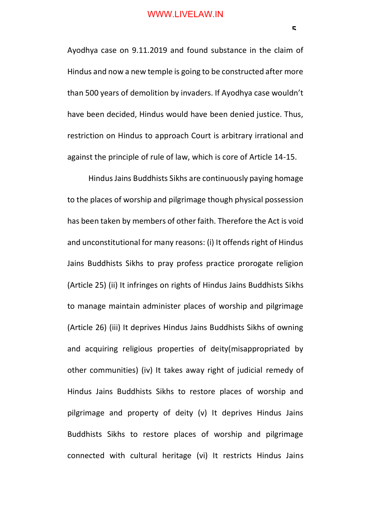Ayodhya case on 9.11.2019 and found substance in the claim of Hindus and now a new temple is going to be constructed after more than 500 years of demolition by invaders. If Ayodhya case wouldn't have been decided, Hindus would have been denied justice. Thus, restriction on Hindus to approach Court is arbitrary irrational and against the principle of rule of law, which is core of Article 14-15.

Hindus Jains Buddhists Sikhs are continuously paying homage to the places of worship and pilgrimage though physical possession has been taken by members of other faith. Therefore the Act is void and unconstitutional for many reasons: (i) It offends right of Hindus Jains Buddhists Sikhs to pray profess practice prorogate religion (Article 25) (ii) It infringes on rights of Hindus Jains Buddhists Sikhs to manage maintain administer places of worship and pilgrimage (Article 26) (iii) It deprives Hindus Jains Buddhists Sikhs of owning and acquiring religious properties of deity(misappropriated by other communities) (iv) It takes away right of judicial remedy of Hindus Jains Buddhists Sikhs to restore places of worship and pilgrimage and property of deity (v) It deprives Hindus Jains Buddhists Sikhs to restore places of worship and pilgrimage connected with cultural heritage (vi) It restricts Hindus Jains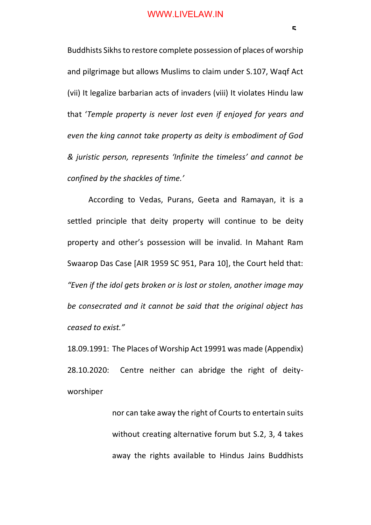Buddhists Sikhs to restore complete possession of places of worship and pilgrimage but allows Muslims to claim under S.107, Waqf Act (vii) It legalize barbarian acts of invaders (viii) It violates Hindu law that '*Temple property is never lost even if enjoyed for years and even the king cannot take property as deity is embodiment of God & juristic person, represents 'Infinite the timeless' and cannot be confined by the shackles of time.'*

According to Vedas, Purans, Geeta and Ramayan, it is a settled principle that deity property will continue to be deity property and other's possession will be invalid. In Mahant Ram Swaarop Das Case [AIR 1959 SC 951, Para 10], the Court held that: *"Even if the idol gets broken or is lost or stolen, another image may be consecrated and it cannot be said that the original object has ceased to exist."* 

18.09.1991: The Places of Worship Act 19991 was made (Appendix) 28.10.2020: Centre neither can abridge the right of deityworshiper

> nor can take away the right of Courts to entertain suits without creating alternative forum but S.2, 3, 4 takes away the rights available to Hindus Jains Buddhists